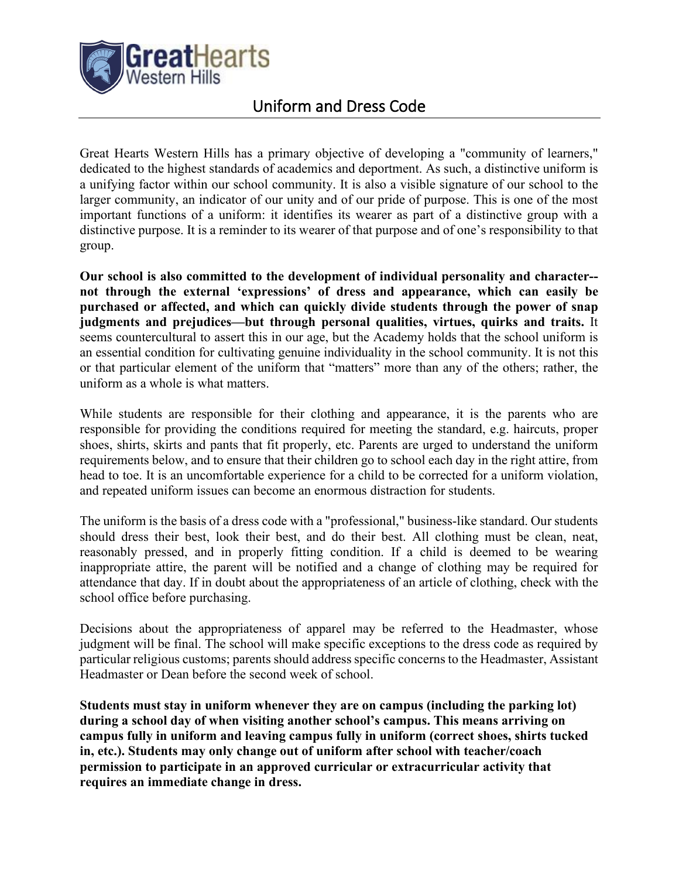

# Uniform and Dress Code

Great Hearts Western Hills has a primary objective of developing a "community of learners," dedicated to the highest standards of academics and deportment. As such, a distinctive uniform is a unifying factor within our school community. It is also a visible signature of our school to the larger community, an indicator of our unity and of our pride of purpose. This is one of the most important functions of a uniform: it identifies its wearer as part of a distinctive group with a distinctive purpose. It is a reminder to its wearer of that purpose and of one's responsibility to that group.

**Our school is also committed to the development of individual personality and character- not through the external 'expressions' of dress and appearance, which can easily be purchased or affected, and which can quickly divide students through the power of snap judgments and prejudices—but through personal qualities, virtues, quirks and traits.** It seems countercultural to assert this in our age, but the Academy holds that the school uniform is an essential condition for cultivating genuine individuality in the school community. It is not this or that particular element of the uniform that "matters" more than any of the others; rather, the uniform as a whole is what matters.

While students are responsible for their clothing and appearance, it is the parents who are responsible for providing the conditions required for meeting the standard, e.g. haircuts, proper shoes, shirts, skirts and pants that fit properly, etc. Parents are urged to understand the uniform requirements below, and to ensure that their children go to school each day in the right attire, from head to toe. It is an uncomfortable experience for a child to be corrected for a uniform violation, and repeated uniform issues can become an enormous distraction for students.

The uniform is the basis of a dress code with a "professional," business-like standard. Our students should dress their best, look their best, and do their best. All clothing must be clean, neat, reasonably pressed, and in properly fitting condition. If a child is deemed to be wearing inappropriate attire, the parent will be notified and a change of clothing may be required for attendance that day. If in doubt about the appropriateness of an article of clothing, check with the school office before purchasing.

Decisions about the appropriateness of apparel may be referred to the Headmaster, whose judgment will be final. The school will make specific exceptions to the dress code as required by particular religious customs; parents should address specific concerns to the Headmaster, Assistant Headmaster or Dean before the second week of school.

**Students must stay in uniform whenever they are on campus (including the parking lot) during a school day of when visiting another school's campus. This means arriving on campus fully in uniform and leaving campus fully in uniform (correct shoes, shirts tucked in, etc.). Students may only change out of uniform after school with teacher/coach permission to participate in an approved curricular or extracurricular activity that requires an immediate change in dress.**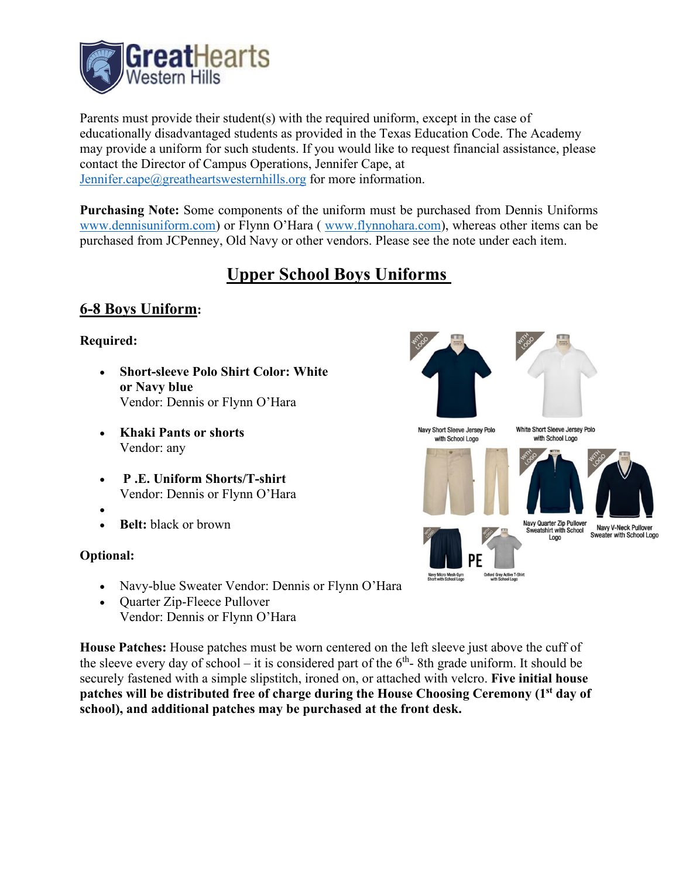

Parents must provide their student(s) with the required uniform, except in the case of educationally disadvantaged students as provided in the Texas Education Code. The Academy may provide a uniform for such students. If you would like to request financial assistance, please contact the Director of Campus Operations, Jennifer Cape, at [Jennifer.cape@greatheartswesternhills.org](mailto:Jennifer.cape@greatheartswesternhills.org) for more information.

**Purchasing Note:** Some components of the uniform must be purchased from Dennis Uniforms [www.dennisuniform.com\)](http://www.dennisuniform.com/) or Flynn O'Hara ( [www.flynnohara.com\)](http://www.flynnohara.com/), whereas other items can be purchased from JCPenney, Old Navy or other vendors. Please see the note under each item.

# **Upper School Boys Uniforms**

## **6-8 Boys Uniform:**

### **Required:**

- **Short-sleeve Polo Shirt Color: White or Navy blue**  Vendor: Dennis or Flynn O'Hara
- **Khaki Pants or shorts** Vendor: any
- **P .E. Uniform Shorts/T-shirt** Vendor: Dennis or Flynn O'Hara
- •
- **Belt:** black or brown

### **Optional:**

- Navy-blue Sweater Vendor: Dennis or Flynn O'Hara
- Quarter Zip-Fleece Pullover Vendor: Dennis or Flynn O'Hara

**House Patches:** House patches must be worn centered on the left sleeve just above the cuff of the sleeve every day of school – it is considered part of the  $6<sup>th</sup>$ -8th grade uniform. It should be securely fastened with a simple slipstitch, ironed on, or attached with velcro. **Five initial house patches will be distributed free of charge during the House Choosing Ceremony (1st day of school), and additional patches may be purchased at the front desk.** 

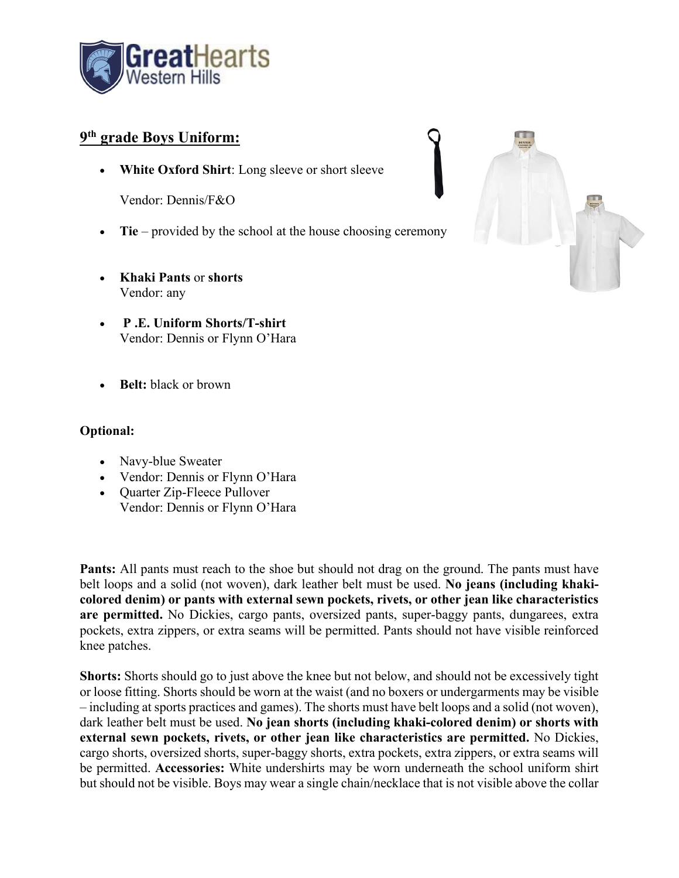

### **9th grade Boys Uniform:**

• **White Oxford Shirt**: Long sleeve or short sleeve

Vendor: Dennis/F&O

- **Tie** provided by the school at the house choosing ceremony
- **Khaki Pants** or **shorts** Vendor: any
- **P .E. Uniform Shorts/T-shirt** Vendor: Dennis or Flynn O'Hara
- **Belt:** black or brown

### **Optional:**

- Navy-blue Sweater
- Vendor: Dennis or Flynn O'Hara
- Quarter Zip-Fleece Pullover Vendor: Dennis or Flynn O'Hara

**Pants:** All pants must reach to the shoe but should not drag on the ground. The pants must have belt loops and a solid (not woven), dark leather belt must be used. **No jeans (including khakicolored denim) or pants with external sewn pockets, rivets, or other jean like characteristics are permitted.** No Dickies, cargo pants, oversized pants, super-baggy pants, dungarees, extra pockets, extra zippers, or extra seams will be permitted. Pants should not have visible reinforced knee patches.

**Shorts:** Shorts should go to just above the knee but not below, and should not be excessively tight or loose fitting. Shorts should be worn at the waist (and no boxers or undergarments may be visible – including at sports practices and games). The shorts must have belt loops and a solid (not woven), dark leather belt must be used. **No jean shorts (including khaki-colored denim) or shorts with external sewn pockets, rivets, or other jean like characteristics are permitted.** No Dickies, cargo shorts, oversized shorts, super-baggy shorts, extra pockets, extra zippers, or extra seams will be permitted. **Accessories:** White undershirts may be worn underneath the school uniform shirt but should not be visible. Boys may wear a single chain/necklace that is not visible above the collar

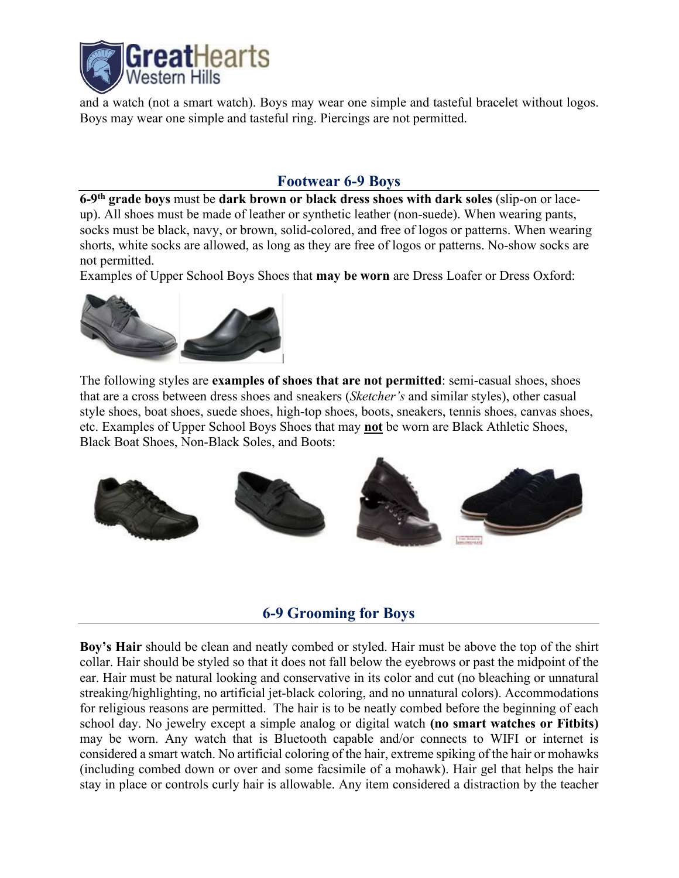

and a watch (not a smart watch). Boys may wear one simple and tasteful bracelet without logos. Boys may wear one simple and tasteful ring. Piercings are not permitted.

## **Footwear 6-9 Boys**

**6-9th grade boys** must be **dark brown or black dress shoes with dark soles** (slip-on or laceup). All shoes must be made of leather or synthetic leather (non-suede). When wearing pants, socks must be black, navy, or brown, solid-colored, and free of logos or patterns. When wearing shorts, white socks are allowed, as long as they are free of logos or patterns. No-show socks are not permitted.

Examples of Upper School Boys Shoes that **may be worn** are Dress Loafer or Dress Oxford:



The following styles are **examples of shoes that are not permitted**: semi-casual shoes, shoes that are a cross between dress shoes and sneakers (*Sketcher's* and similar styles), other casual style shoes, boat shoes, suede shoes, high-top shoes, boots, sneakers, tennis shoes, canvas shoes, etc. Examples of Upper School Boys Shoes that may **not** be worn are Black Athletic Shoes, Black Boat Shoes, Non-Black Soles, and Boots:



### **6-9 Grooming for Boys**

**Boy's Hair** should be clean and neatly combed or styled. Hair must be above the top of the shirt collar. Hair should be styled so that it does not fall below the eyebrows or past the midpoint of the ear. Hair must be natural looking and conservative in its color and cut (no bleaching or unnatural streaking/highlighting, no artificial jet-black coloring, and no unnatural colors). Accommodations for religious reasons are permitted. The hair is to be neatly combed before the beginning of each school day. No jewelry except a simple analog or digital watch **(no smart watches or Fitbits)** may be worn. Any watch that is Bluetooth capable and/or connects to WIFI or internet is considered a smart watch. No artificial coloring of the hair, extreme spiking of the hair or mohawks (including combed down or over and some facsimile of a mohawk). Hair gel that helps the hair stay in place or controls curly hair is allowable. Any item considered a distraction by the teacher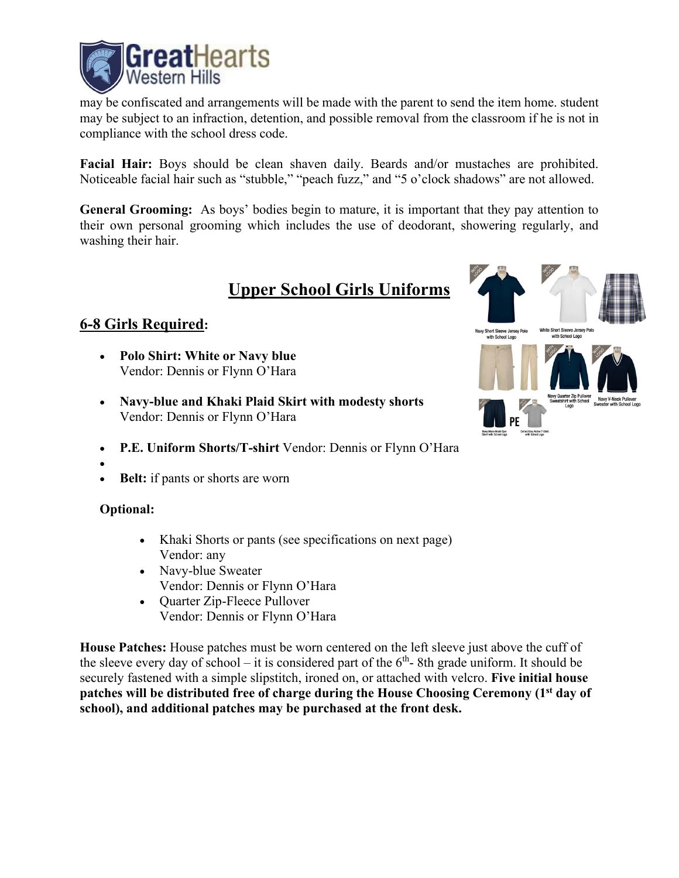

may be confiscated and arrangements will be made with the parent to send the item home. student may be subject to an infraction, detention, and possible removal from the classroom if he is not in compliance with the school dress code.

**Facial Hair:** Boys should be clean shaven daily. Beards and/or mustaches are prohibited. Noticeable facial hair such as "stubble," "peach fuzz," and "5 o'clock shadows" are not allowed.

**General Grooming:** As boys' bodies begin to mature, it is important that they pay attention to their own personal grooming which includes the use of deodorant, showering regularly, and washing their hair.

# **Upper School Girls Uniforms**

## **6-8 Girls Required:**

- **Polo Shirt: White or Navy blue** Vendor: Dennis or Flynn O'Hara
- **Navy-blue and Khaki Plaid Skirt with modesty shorts** Vendor: Dennis or Flynn O'Hara
- **P.E. Uniform Shorts/T-shirt** Vendor: Dennis or Flynn O'Hara
- •
- **Belt:** if pants or shorts are worn

### **Optional:**

- Khaki Shorts or pants (see specifications on next page) Vendor: any
- Navy-blue Sweater Vendor: Dennis or Flynn O'Hara
- Quarter Zip-Fleece Pullover Vendor: Dennis or Flynn O'Hara

**House Patches:** House patches must be worn centered on the left sleeve just above the cuff of the sleeve every day of school – it is considered part of the  $6<sup>th</sup>$ -8th grade uniform. It should be securely fastened with a simple slipstitch, ironed on, or attached with velcro. **Five initial house patches will be distributed free of charge during the House Choosing Ceremony (1st day of school), and additional patches may be purchased at the front desk.** 

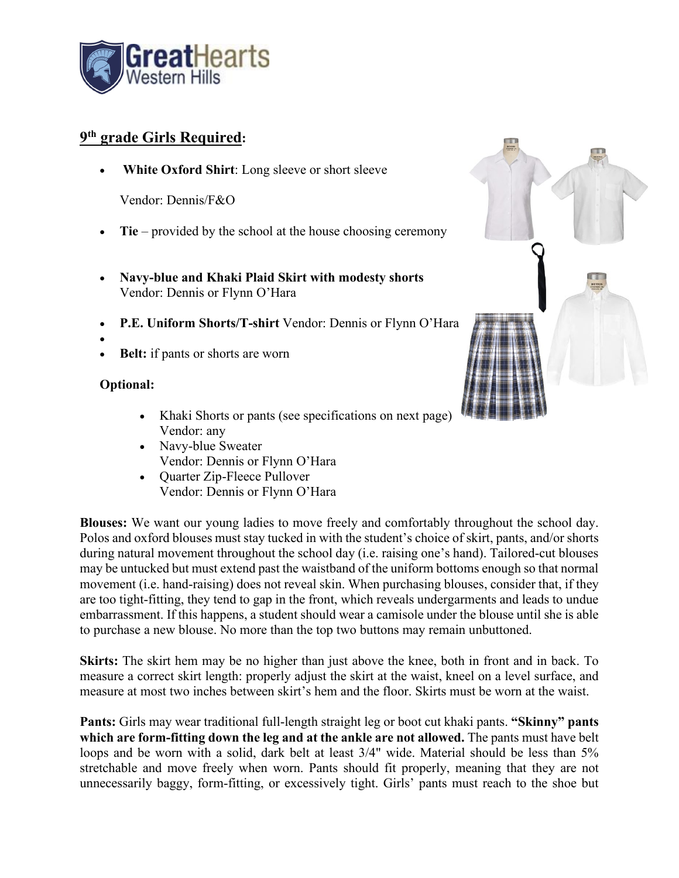

## **9th grade Girls Required:**

White Oxford Shirt: Long sleeve or short sleeve

Vendor: Dennis/F&O

- **Tie** provided by the school at the house choosing ceremony
- **Navy-blue and Khaki Plaid Skirt with modesty shorts** Vendor: Dennis or Flynn O'Hara
- **P.E. Uniform Shorts/T-shirt** Vendor: Dennis or Flynn O'Hara
- •
- **Belt:** if pants or shorts are worn

### **Optional:**

- Khaki Shorts or pants (see specifications on next page) Vendor: any
- Navy-blue Sweater Vendor: Dennis or Flynn O'Hara
- Quarter Zip-Fleece Pullover Vendor: Dennis or Flynn O'Hara

**Blouses:** We want our young ladies to move freely and comfortably throughout the school day. Polos and oxford blouses must stay tucked in with the student's choice of skirt, pants, and/or shorts during natural movement throughout the school day (i.e. raising one's hand). Tailored-cut blouses may be untucked but must extend past the waistband of the uniform bottoms enough so that normal movement (i.e. hand-raising) does not reveal skin. When purchasing blouses, consider that, if they are too tight-fitting, they tend to gap in the front, which reveals undergarments and leads to undue embarrassment. If this happens, a student should wear a camisole under the blouse until she is able to purchase a new blouse. No more than the top two buttons may remain unbuttoned.

**Skirts:** The skirt hem may be no higher than just above the knee, both in front and in back. To measure a correct skirt length: properly adjust the skirt at the waist, kneel on a level surface, and measure at most two inches between skirt's hem and the floor. Skirts must be worn at the waist.

**Pants:** Girls may wear traditional full-length straight leg or boot cut khaki pants. **"Skinny" pants which are form-fitting down the leg and at the ankle are not allowed.** The pants must have belt loops and be worn with a solid, dark belt at least  $3/4$ " wide. Material should be less than  $5\%$ stretchable and move freely when worn. Pants should fit properly, meaning that they are not unnecessarily baggy, form-fitting, or excessively tight. Girls' pants must reach to the shoe but

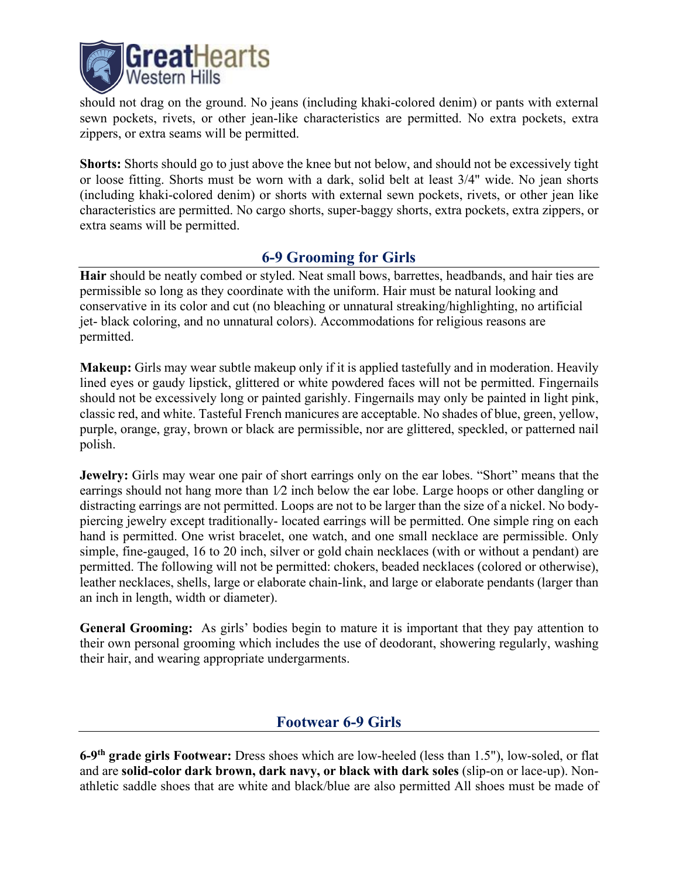

should not drag on the ground. No jeans (including khaki-colored denim) or pants with external sewn pockets, rivets, or other jean-like characteristics are permitted. No extra pockets, extra zippers, or extra seams will be permitted.

**Shorts:** Shorts should go to just above the knee but not below, and should not be excessively tight or loose fitting. Shorts must be worn with a dark, solid belt at least 3/4" wide. No jean shorts (including khaki-colored denim) or shorts with external sewn pockets, rivets, or other jean like characteristics are permitted. No cargo shorts, super-baggy shorts, extra pockets, extra zippers, or extra seams will be permitted.

## **6-9 Grooming for Girls**

**Hair** should be neatly combed or styled. Neat small bows, barrettes, headbands, and hair ties are permissible so long as they coordinate with the uniform. Hair must be natural looking and conservative in its color and cut (no bleaching or unnatural streaking/highlighting, no artificial jet-black coloring, and no unnatural colors). Accommodations for religious reasons are permitted.

**Makeup:** Girls may wear subtle makeup only if it is applied tastefully and in moderation. Heavily lined eyes or gaudy lipstick, glittered or white powdered faces will not be permitted. Fingernails should not be excessively long or painted garishly. Fingernails may only be painted in light pink, classic red, and white. Tasteful French manicures are acceptable. No shades of blue, green, yellow, purple, orange, gray, brown or black are permissible, nor are glittered, speckled, or patterned nail polish.

**Jewelry:** Girls may wear one pair of short earrings only on the ear lobes. "Short" means that the earrings should not hang more than  $1/2$  inch below the ear lobe. Large hoops or other dangling or distracting earrings are not permitted. Loops are not to be larger than the size of a nickel. No bodypiercing jewelry except traditionally- located earrings will be permitted. One simple ring on each hand is permitted. One wrist bracelet, one watch, and one small necklace are permissible. Only simple, fine-gauged, 16 to 20 inch, silver or gold chain necklaces (with or without a pendant) are permitted. The following will not be permitted: chokers, beaded necklaces (colored or otherwise), leather necklaces, shells, large or elaborate chain-link, and large or elaborate pendants (larger than an inch in length, width or diameter).

**General Grooming:** As girls' bodies begin to mature it is important that they pay attention to their own personal grooming which includes the use of deodorant, showering regularly, washing their hair, and wearing appropriate undergarments.

## **Footwear 6-9 Girls**

**6-9th grade girls Footwear:** Dress shoes which are low-heeled (less than 1.5"), low-soled, or flat and are **solid-color dark brown, dark navy, or black with dark soles** (slip-on or lace-up). Nonathletic saddle shoes that are white and black/blue are also permitted All shoes must be made of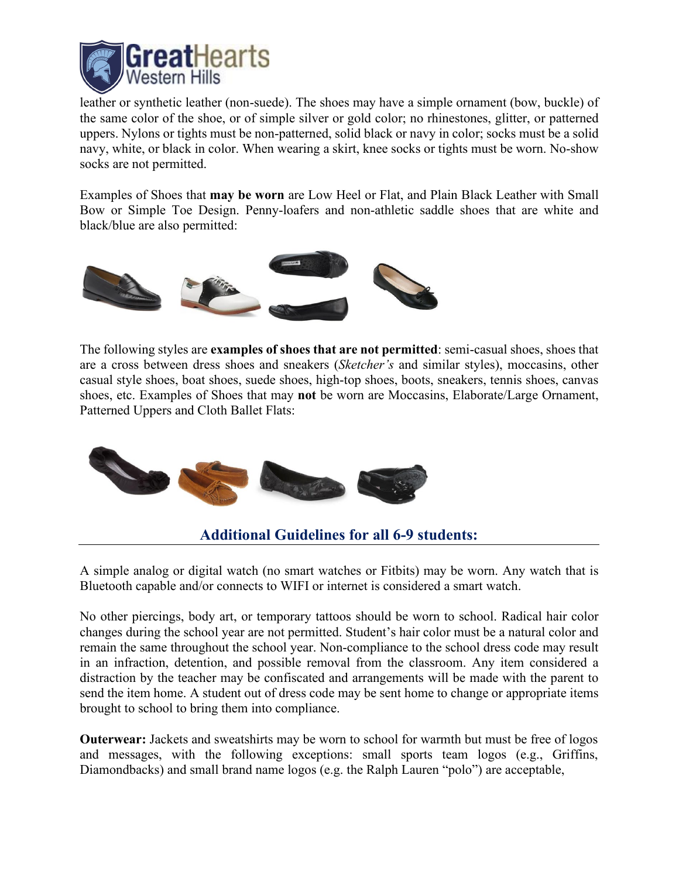

leather or synthetic leather (non-suede). The shoes may have a simple ornament (bow, buckle) of the same color of the shoe, or of simple silver or gold color; no rhinestones, glitter, or patterned uppers. Nylons or tights must be non-patterned, solid black or navy in color; socks must be a solid navy, white, or black in color. When wearing a skirt, knee socks or tights must be worn. No-show socks are not permitted.

Examples of Shoes that **may be worn** are Low Heel or Flat, and Plain Black Leather with Small Bow or Simple Toe Design. Penny-loafers and non-athletic saddle shoes that are white and black/blue are also permitted:



The following styles are **examples of shoes that are not permitted**: semi-casual shoes, shoes that are a cross between dress shoes and sneakers (*Sketcher's* and similar styles), moccasins, other casual style shoes, boat shoes, suede shoes, high-top shoes, boots, sneakers, tennis shoes, canvas shoes, etc. Examples of Shoes that may **not** be worn are Moccasins, Elaborate/Large Ornament, Patterned Uppers and Cloth Ballet Flats:



## **Additional Guidelines for all 6-9 students:**

A simple analog or digital watch (no smart watches or Fitbits) may be worn. Any watch that is Bluetooth capable and/or connects to WIFI or internet is considered a smart watch.

No other piercings, body art, or temporary tattoos should be worn to school. Radical hair color changes during the school year are not permitted. Student's hair color must be a natural color and remain the same throughout the school year. Non-compliance to the school dress code may result in an infraction, detention, and possible removal from the classroom. Any item considered a distraction by the teacher may be confiscated and arrangements will be made with the parent to send the item home. A student out of dress code may be sent home to change or appropriate items brought to school to bring them into compliance.

**Outerwear:** Jackets and sweatshirts may be worn to school for warmth but must be free of logos and messages, with the following exceptions: small sports team logos (e.g., Griffins, Diamondbacks) and small brand name logos (e.g. the Ralph Lauren "polo") are acceptable,